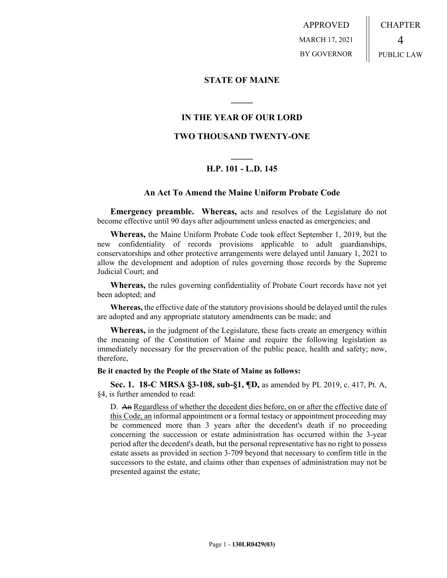APPROVED MARCH 17, 2021 BY GOVERNOR CHAPTER 4 PUBLIC LAW

## **STATE OF MAINE**

## **IN THE YEAR OF OUR LORD**

**\_\_\_\_\_**

## **TWO THOUSAND TWENTY-ONE**

# **\_\_\_\_\_ H.P. 101 - L.D. 145**

### **An Act To Amend the Maine Uniform Probate Code**

**Emergency preamble. Whereas,** acts and resolves of the Legislature do not become effective until 90 days after adjournment unless enacted as emergencies; and

**Whereas,** the Maine Uniform Probate Code took effect September 1, 2019, but the new confidentiality of records provisions applicable to adult guardianships, conservatorships and other protective arrangements were delayed until January 1, 2021 to allow the development and adoption of rules governing those records by the Supreme Judicial Court; and

**Whereas,** the rules governing confidentiality of Probate Court records have not yet been adopted; and

**Whereas,** the effective date of the statutory provisions should be delayed until the rules are adopted and any appropriate statutory amendments can be made; and

**Whereas,** in the judgment of the Legislature, these facts create an emergency within the meaning of the Constitution of Maine and require the following legislation as immediately necessary for the preservation of the public peace, health and safety; now, therefore,

#### **Be it enacted by the People of the State of Maine as follows:**

**Sec. 1. 18-C MRSA §3-108, sub-§1, ¶D,** as amended by PL 2019, c. 417, Pt. A, §4, is further amended to read:

D. An Regardless of whether the decedent dies before, on or after the effective date of this Code, an informal appointment or a formal testacy or appointment proceeding may be commenced more than 3 years after the decedent's death if no proceeding concerning the succession or estate administration has occurred within the 3-year period after the decedent's death, but the personal representative has no right to possess estate assets as provided in section 3‑709 beyond that necessary to confirm title in the successors to the estate, and claims other than expenses of administration may not be presented against the estate;